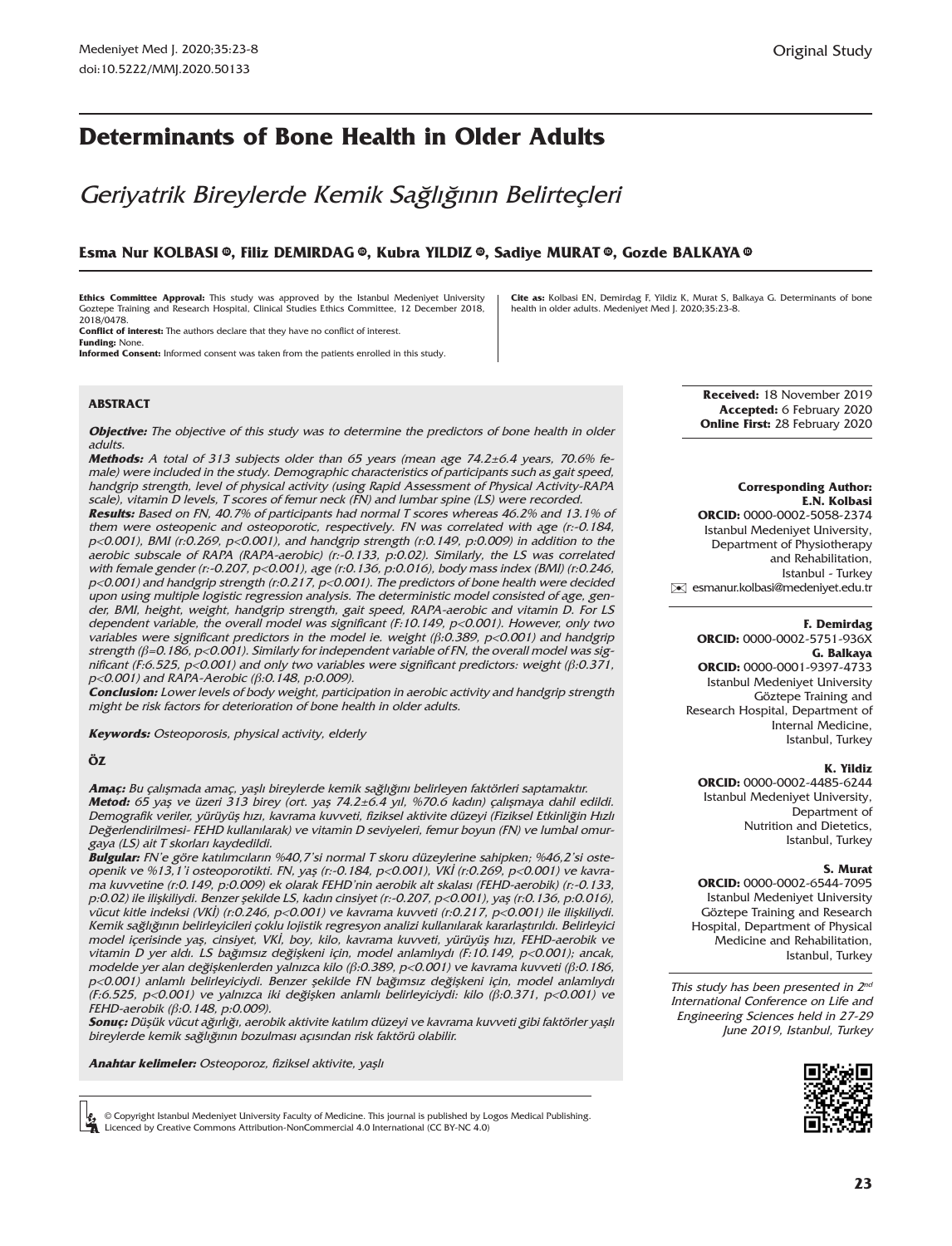# **Determinants of Bone Health in Older Adults**

Geriyatrik Bireylerde Kemik Sağlığının Belirteçleri

### **Esma Nur KOLBASIID , Filiz DEMIRDAG ID [,](https://orcid.org/0000-0002-5751-936X) Kubra YILDIZ [,](https://orcid.org/0000-0002-4485-6244) Sadiye MURAT [,](https://orcid.org/0000-0002-6544-7095) Gozde BALKAYA ID ID [ID](https://orcid.org/0000-0001-9397-4733)**

**Ethics Committee Approval:** This study was approved by the Istanbul Medeniyet University Goztepe Training and Research Hospital, Clinical Studies Ethics Committee, 12 December 2018, 2018/0478.

**Conflict of interest:** The authors declare that they have no conflict of interest. **Funding:** None.

**Informed Consent:** Informed consent was taken from the patients enrolled in this study.

#### **ABSTRACT**

**Objective:** The objective of this study was to determine the predictors of bone health in older adults.

**Methods:** A total of 313 subjects older than 65 years (mean age 74.2±6.4 years, 70.6% female) were included in the study. Demographic characteristics of participants such as gait speed, handgrip strength, level of physical activity (using Rapid Assessment of Physical Activity-RAPA scale), vitamin D levels, T scores of femur neck (FN) and lumbar spine (LS) were recorded.

**Results:** Based on FN, 40.7% of participants had normal T scores whereas 46.2% and 13.1% of them were osteopenic and osteoporotic, respectively. FN was correlated with age (r:-0.184, p<0.001), BMI (r:0.269, p<0.001), and handgrip strength (r:0.149, p:0.009) in addition to the aerobic subscale of RAPA (RAPA-aerobic) (r:-0.133, p:0.02). Similarly, the LS was correlated with female gender (r:-0.207, p<0.001), age (r:0.136, p:0.016), body mass index (BMI) (r:0.246, p<0.001) and handgrip strength (r:0.217, p<0.001). The predictors of bone health were decided upon using multiple logistic regression analysis. The deterministic model consisted of age, gender, BMI, height, weight, handgrip strength, gait speed, RAPA-aerobic and vitamin D. For LS dependent variable, the overall model was significant (F:10.149, p<0.001). However, only two variables were significant predictors in the model ie. weight (β:0.389, p<0.001) and handgrip strength ( $\beta$ =0.186, p<0.001). Similarly for independent variable of FN, the overall model was significant (F:6.525, p<0.001) and only two variables were significant predictors: weight ( $\beta$ :0.371, p<0.001) and RAPA-Aerobic (β:0.148, p:0.009).

**Conclusion:** Lower levels of body weight, participation in aerobic activity and handgrip strength might be risk factors for deterioration of bone health in older adults.

**Keywords:** Osteoporosis, physical activity, elderly

#### **ÖZ**

**Amaç:** Bu çalışmada amaç, yaşlı bireylerde kemik sağlığını belirleyen faktörleri saptamaktır. **Metod:** 65 yaş ve üzeri 313 birey (ort. yaş 74.2±6.4 yıl, %70.6 kadın) çalışmaya dahil edildi. Demografik veriler, yürüyüş hızı, kavrama kuvveti, fiziksel aktivite düzeyi (Fiziksel Etkinliğin Hızlı Değerlendirilmesi- FEHD kullanılarak) ve vitamin D seviyeleri, femur boyun (FN) ve lumbal omurgaya (LS) ait T skorları kaydedildi.

**Bulgular:** FN'e göre katılımcıların %40,7'si normal T skoru düzeylerine sahipken; %46,2'si osteopenik ve %13,1'i osteoporotikti. FN, yaş (r:-0.184, p<0.001), VKİ (r:0.269, p<0.001) ve kavrama kuvvetine (r:0.149, p:0.009) ek olarak FEHD'nin aerobik alt skalası (FEHD-aerobik) (r:-0.133, p:0.02) ile ilişkiliydi. Benzer şekilde LS, kadın cinsiyet (r:-0.207, p<0.001), yaş (r:0.136, p:0.016), vücut kitle indeksi (VKİ) (r:0.246, p<0.001) ve kavrama kuvveti (r:0.217, p<0.001) ile ilişkiliydi. Kemik sağlığının belirleyicileri çoklu lojistik regresyon analizi kullanılarak kararlaştırıldı. Belirleyici model içerisinde yaş, cinsiyet, VKİ, boy, kilo, kavrama kuvveti, yürüyüş hızı, FEHD-aerobik ve vitamin D yer aldı. LS bağımsız değişkeni için, model anlamlıydı (F:10.149, p<0.001); ancak, modelde yer alan değişkenlerden yalnızca kilo (β:0.389, p<0.001) ve kavrama kuvveti (β:0.186, p<0.001) anlamlı belirleyiciydi. Benzer şekilde FN bağımsız değişkeni için, model anlamlıydı (F:6.525, p<0.001) ve yalnızca iki değişken anlamlı belirleyiciydi: kilo (β:0.371, p<0.001) ve FEHD-aerobik (β:0.148, p:0.009).

**Sonuç:** Düşük vücut ağırlığı, aerobik aktivite katılım düzeyi ve kavrama kuvveti gibi faktörler yaşlı bireylerde kemik sağlığının bozulması açısından risk faktörü olabilir.

**Anahtar kelimeler:** Osteoporoz, fiziksel aktivite, yaşlı

© Copyright Istanbul Medeniyet University Faculty of Medicine. This journal is published by Logos Medical Publishing. **C** Copyright Istanbul Medeniyet University Faculty of Medicine. This journal is presented by Creative Commons Attribution-NonCommercial 4.0 International (CC BY-NC 4.0)

**Cite as:** Kolbasi EN, Demirdag F, Yildiz K, Murat S, Balkaya G. Determinants of bone

health in older adults. Medeniyet Med J. 2020;35:23-8.

**Received:** 18 November 2019 **Accepted:** 6 February 2020 **Online First:** 28 February 2020

### **Corresponding Author: E.N. Kolbasi**

**ORCID:** 0000-0002-5058-2374 Istanbul Medeniyet University, Department of Physiotherapy and Rehabilitation, Istanbul - Turkey [✉](mailto:esmanur.kolbasi@medeniyet.edu.tr) esmanur.kolbasi@medeniyet.edu.tr

#### **F. Demirdag**

**ORCID:** 0000-0002-5751-936X **G. Balkaya ORCID:** 0000-0001-9397-4733 Istanbul Medeniyet University Göztepe Training and Research Hospital, Department of Internal Medicine, Istanbul, Turkey

#### **K. Yildiz**

**ORCID:** 0000-0002-4485-6244 Istanbul Medeniyet University, Department of Nutrition and Dietetics, Istanbul, Turkey

#### **S. Murat**

**ORCID:** 0000-0002-6544-7095 Istanbul Medeniyet University Göztepe Training and Research Hospital, Department of Physical Medicine and Rehabilitation, Istanbul, Turkey

This study has been presented in  $2^{nd}$ International Conference on Life and Engineering Sciences held in 27-29 June 2019, Istanbul, Turkey

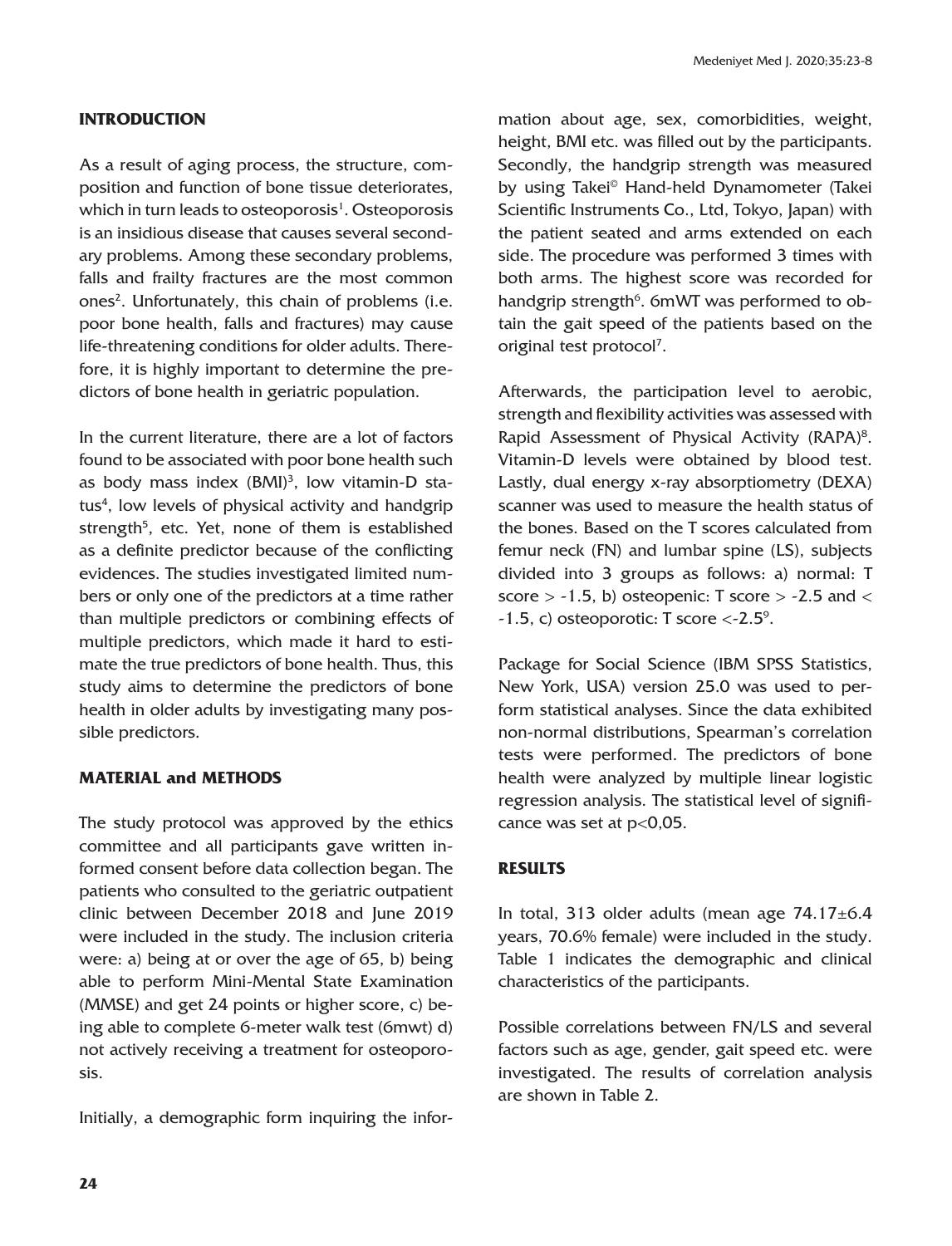# **INTRODUCTION**

As a result of aging process, the structure, composition and function of bone tissue deteriorates, which in turn leads to osteoporosis $^{\rm 1}$ . Osteoporosis is an insidious disease that causes several secondary problems. Among these secondary problems, falls and frailty fractures are the most common ones<sup>2</sup>. Unfortunately, this chain of problems (i.e. poor bone health, falls and fractures) may cause life-threatening conditions for older adults. Therefore, it is highly important to determine the predictors of bone health in geriatric population.

In the current literature, there are a lot of factors found to be associated with poor bone health such as body mass index (BMI)<sup>3</sup>, low vitamin-D status<sup>4</sup>, low levels of physical activity and handgrip strength<sup>5</sup>, etc. Yet, none of them is established as a definite predictor because of the conflicting evidences. The studies investigated limited numbers or only one of the predictors at a time rather than multiple predictors or combining effects of multiple predictors, which made it hard to estimate the true predictors of bone health. Thus, this study aims to determine the predictors of bone health in older adults by investigating many possible predictors.

# **MATERIAL and METHODS**

The study protocol was approved by the ethics committee and all participants gave written informed consent before data collection began. The patients who consulted to the geriatric outpatient clinic between December 2018 and June 2019 were included in the study. The inclusion criteria were: a) being at or over the age of 65, b) being able to perform Mini-Mental State Examination (MMSE) and get 24 points or higher score, c) being able to complete 6-meter walk test (6mwt) d) not actively receiving a treatment for osteoporosis.

Initially, a demographic form inquiring the infor-

mation about age, sex, comorbidities, weight, height, BMI etc. was filled out by the participants. Secondly, the handgrip strength was measured by using Takei© Hand-held Dynamometer (Takei Scientific Instruments Co., Ltd, Tokyo, Japan) with the patient seated and arms extended on each side. The procedure was performed 3 times with both arms. The highest score was recorded for handgrip strength<sup>6</sup>. 6mWT was performed to obtain the gait speed of the patients based on the original test protocol<sup>7</sup>.

Afterwards, the participation level to aerobic, strength and flexibility activities was assessed with Rapid Assessment of Physical Activity (RAPA)<sup>8</sup>. Vitamin-D levels were obtained by blood test. Lastly, dual energy x-ray absorptiometry (DEXA) scanner was used to measure the health status of the bones. Based on the T scores calculated from femur neck (FN) and lumbar spine (LS), subjects divided into 3 groups as follows: a) normal: T score  $> -1.5$ , b) osteopenic: T score  $> -2.5$  and  $<$  $-1.5$ , c) osteoporotic: T score  $\langle -2.5^\circ \rangle$ .

Package for Social Science (IBM SPSS Statistics, New York, USA) version 25.0 was used to perform statistical analyses. Since the data exhibited non-normal distributions, Spearman's correlation tests were performed. The predictors of bone health were analyzed by multiple linear logistic regression analysis. The statistical level of significance was set at p<0,05.

# **RESULTS**

In total, 313 older adults (mean age  $74.17\pm6.4$ years, 70.6% female) were included in the study. Table 1 indicates the demographic and clinical characteristics of the participants.

Possible correlations between FN/LS and several factors such as age, gender, gait speed etc. were investigated. The results of correlation analysis are shown in Table 2.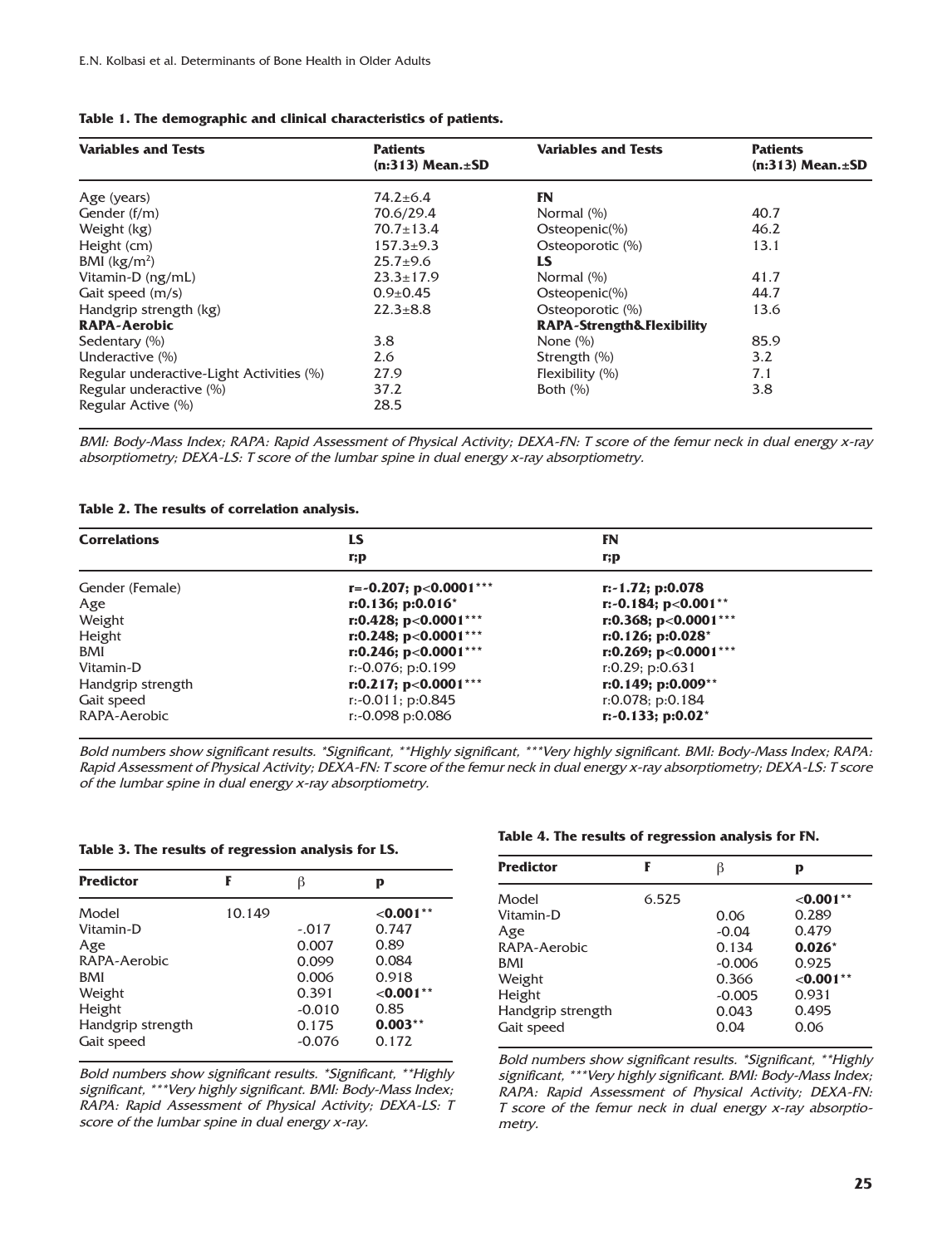|  |  |  |  |  | Table 1. The demographic and clinical characteristics of patients. |  |  |
|--|--|--|--|--|--------------------------------------------------------------------|--|--|
|--|--|--|--|--|--------------------------------------------------------------------|--|--|

| <b>Variables and Tests</b>               | <b>Patients</b><br>$(n:313)$ Mean. $\pm$ SD | <b>Variables and Tests</b>           | <b>Patients</b><br>$(n:313)$ Mean. $\pm$ SD |  |
|------------------------------------------|---------------------------------------------|--------------------------------------|---------------------------------------------|--|
|                                          |                                             |                                      |                                             |  |
| Age (years)                              | $74.2 \pm 6.4$                              | <b>FN</b>                            |                                             |  |
| Gender (f/m)                             | 70.6/29.4                                   | Normal (%)                           | 40.7                                        |  |
| Weight (kg)                              | $70.7 \pm 13.4$                             | $Osteopenic(\%)$                     | 46.2                                        |  |
| Height (cm)                              | $157.3 \pm 9.3$                             | Osteoporotic (%)                     | 13.1                                        |  |
| BMI $(kg/m2)$                            | $25.7+9.6$                                  | LS                                   |                                             |  |
| Vitamin-D (ng/mL)                        | $23.3 \pm 17.9$                             | Normal (%)                           | 41.7                                        |  |
| Gait speed (m/s)                         | $0.9 \pm 0.45$                              | $Osteopenic(\%)$                     | 44.7                                        |  |
| Handgrip strength (kg)                   | $22.3 + 8.8$                                | Osteoporotic (%)                     | 13.6                                        |  |
| <b>RAPA-Aerobic</b>                      |                                             | <b>RAPA-Strength&amp;Flexibility</b> |                                             |  |
| Sedentary (%)                            | 3.8                                         | None $(\%)$                          | 85.9                                        |  |
| Underactive (%)                          | 2.6                                         | Strength (%)                         | 3.2                                         |  |
| Regular underactive-Light Activities (%) | 27.9                                        | Flexibility $(\%)$                   | 7.1                                         |  |
| Regular underactive (%)                  | 37.2                                        | Both $(\% )$                         | 3.8                                         |  |
| Regular Active (%)                       | 28.5                                        |                                      |                                             |  |

BMI: Body-Mass Index; RAPA: Rapid Assessment of Physical Activity; DEXA-FN: T score of the femur neck in dual energy x-ray absorptiometry; DEXA-LS: T score of the lumbar spine in dual energy x-ray absorptiometry.

#### **Table 2. The results of correlation analysis.**

| <b>Correlations</b> | LS                      | FN                                |  |
|---------------------|-------------------------|-----------------------------------|--|
|                     | $\mathbf{r};\mathbf{p}$ | r;p                               |  |
| Gender (Female)     | r=-0.207; p<0.0001***   | $r: -1.72; p:0.078$               |  |
| Age                 | $r: 0.136; p: 0.016^*$  | r:-0.184; $p<0.001**$             |  |
| Weight              | r:0.428; $p<0.0001***$  | r:0.368; $p<0.0001***$            |  |
| Height              | r:0.248; $p<0.0001***$  | $r: 0.126; p: 0.028$ <sup>*</sup> |  |
| <b>BMI</b>          | r:0.246; $p<0.0001***$  | r:0.269; $p<0.0001***$            |  |
| Vitamin-D           | $r: -0.076; p:0.199$    | r:0.29; p:0.631                   |  |
| Handgrip strength   | r:0.217; $p<0.0001***$  | $r: 0.149; p: 0.009**$            |  |
| Gait speed          | $r: -0.011$ ; p:0.845   | $r: 0.078$ ; p:0.184              |  |
| RAPA-Aerobic        | r:-0.098 p:0.086        | $r: -0.133; p:0.02^*$             |  |

Bold numbers show significant results. \*Significant, \*\*Highly significant, \*\*\*Very highly significant. BMI: Body-Mass Index; RAPA: Rapid Assessment of Physical Activity; DEXA-FN: T score of the femur neck in dual energy x-ray absorptiometry; DEXA-LS: T score of the lumbar spine in dual energy x-ray absorptiometry.

### **Table 3. The results of regression analysis for LS.**

| <b>Predictor</b>  | F      | β        | р           |
|-------------------|--------|----------|-------------|
| Model             | 10.149 |          | $< 0.001**$ |
| Vitamin-D         |        | $-.017$  | 0.747       |
| Age               |        | 0.007    | 0.89        |
| RAPA-Aerobic      |        | 0.099    | 0.084       |
| <b>BMI</b>        |        | 0.006    | 0.918       |
| Weight            |        | 0.391    | $< 0.001**$ |
| Height            |        | $-0.010$ | 0.85        |
| Handgrip strength |        | 0.175    | $0.003**$   |
| Gait speed        |        | $-0.076$ | 0.172       |

Bold numbers show significant results. \*Significant, \*\*Highly significant, \*\*\*Very highly significant. BMI: Body-Mass Index; RAPA: Rapid Assessment of Physical Activity; DEXA-LS: T score of the lumbar spine in dual energy x-ray.

### **Table 4. The results of regression analysis for FN.**

| <b>Predictor</b>                                                                                               | F     | ß                                                                          | p                                                                                           |
|----------------------------------------------------------------------------------------------------------------|-------|----------------------------------------------------------------------------|---------------------------------------------------------------------------------------------|
| Model<br>Vitamin-D<br>Age<br>RAPA-Aerobic<br><b>BMI</b><br>Weight<br>Height<br>Handgrip strength<br>Gait speed | 6.525 | 0.06<br>$-0.04$<br>0.134<br>$-0.006$<br>0.366<br>$-0.005$<br>0.043<br>0.04 | $<$ 0.001**<br>0.289<br>0.479<br>$0.026*$<br>0.925<br>$< 0.001**$<br>0.931<br>0.495<br>0.06 |

Bold numbers show significant results. \*Significant, \*\*Highly significant, \*\*\*Very highly significant. BMI: Body-Mass Index; RAPA: Rapid Assessment of Physical Activity; DEXA-FN: T score of the femur neck in dual energy x-ray absorptiometry.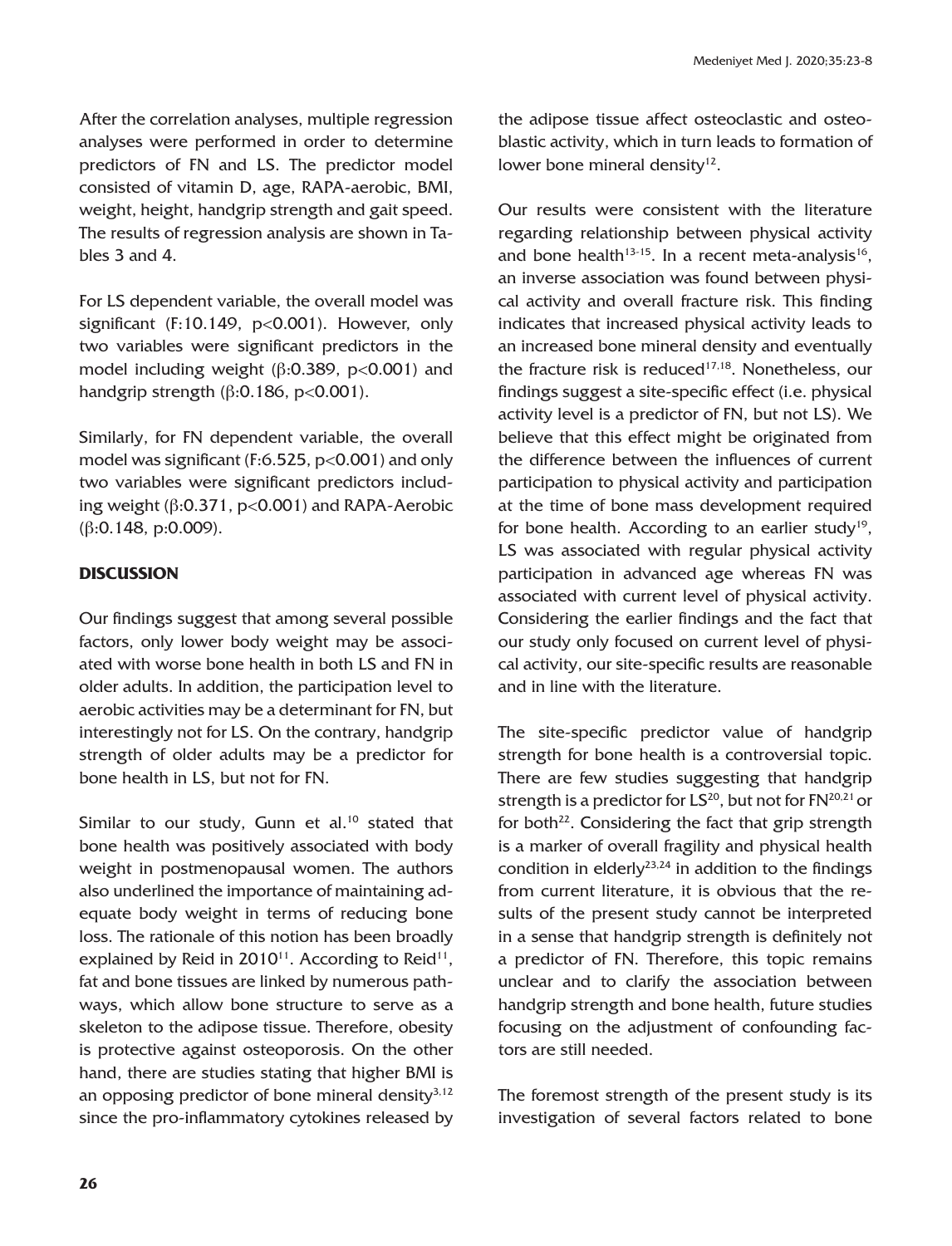After the correlation analyses, multiple regression analyses were performed in order to determine predictors of FN and LS. The predictor model consisted of vitamin D, age, RAPA-aerobic, BMI, weight, height, handgrip strength and gait speed. The results of regression analysis are shown in Tables 3 and 4.

For LS dependent variable, the overall model was significant  $(F:10.149, p<0.001)$ . However, only two variables were significant predictors in the model including weight ( $\beta$ :0.389, p<0.001) and handgrip strength ( $\beta$ :0.186, p<0.001).

Similarly, for FN dependent variable, the overall model was significant (F:6.525, p<0.001) and only two variables were significant predictors including weight  $(\beta:0.371, p<0.001)$  and RAPA-Aerobic (β:0.148, p:0.009).

# **DISCUSSION**

Our findings suggest that among several possible factors, only lower body weight may be associated with worse bone health in both LS and FN in older adults. In addition, the participation level to aerobic activities may be a determinant for FN, but interestingly not for LS. On the contrary, handgrip strength of older adults may be a predictor for bone health in LS, but not for FN.

Similar to our study, Gunn et al.<sup>10</sup> stated that bone health was positively associated with body weight in postmenopausal women. The authors also underlined the importance of maintaining adequate body weight in terms of reducing bone loss. The rationale of this notion has been broadly explained by Reid in  $2010^{11}$ . According to Reid<sup>11</sup>, fat and bone tissues are linked by numerous pathways, which allow bone structure to serve as a skeleton to the adipose tissue. Therefore, obesity is protective against osteoporosis. On the other hand, there are studies stating that higher BMI is an opposing predictor of bone mineral density $3,12$ since the pro-inflammatory cytokines released by the adipose tissue affect osteoclastic and osteoblastic activity, which in turn leads to formation of lower bone mineral density $12$ .

Our results were consistent with the literature regarding relationship between physical activity and bone health<sup>13-15</sup>. In a recent meta-analysis<sup>16</sup>, an inverse association was found between physical activity and overall fracture risk. This finding indicates that increased physical activity leads to an increased bone mineral density and eventually the fracture risk is reduced<sup>17,18</sup>. Nonetheless, our findings suggest a site-specific effect (i.e. physical activity level is a predictor of FN, but not LS). We believe that this effect might be originated from the difference between the influences of current participation to physical activity and participation at the time of bone mass development required for bone health. According to an earlier study<sup>19</sup>, LS was associated with regular physical activity participation in advanced age whereas FN was associated with current level of physical activity. Considering the earlier findings and the fact that our study only focused on current level of physical activity, our site-specific results are reasonable and in line with the literature.

The site-specific predictor value of handgrip strength for bone health is a controversial topic. There are few studies suggesting that handgrip strength is a predictor for  $LS^{20}$ , but not for  $FN^{20,21}$  or for both $22$ . Considering the fact that grip strength is a marker of overall fragility and physical health condition in elderly<sup>23,24</sup> in addition to the findings from current literature, it is obvious that the results of the present study cannot be interpreted in a sense that handgrip strength is definitely not a predictor of FN. Therefore, this topic remains unclear and to clarify the association between handgrip strength and bone health, future studies focusing on the adjustment of confounding factors are still needed.

The foremost strength of the present study is its investigation of several factors related to bone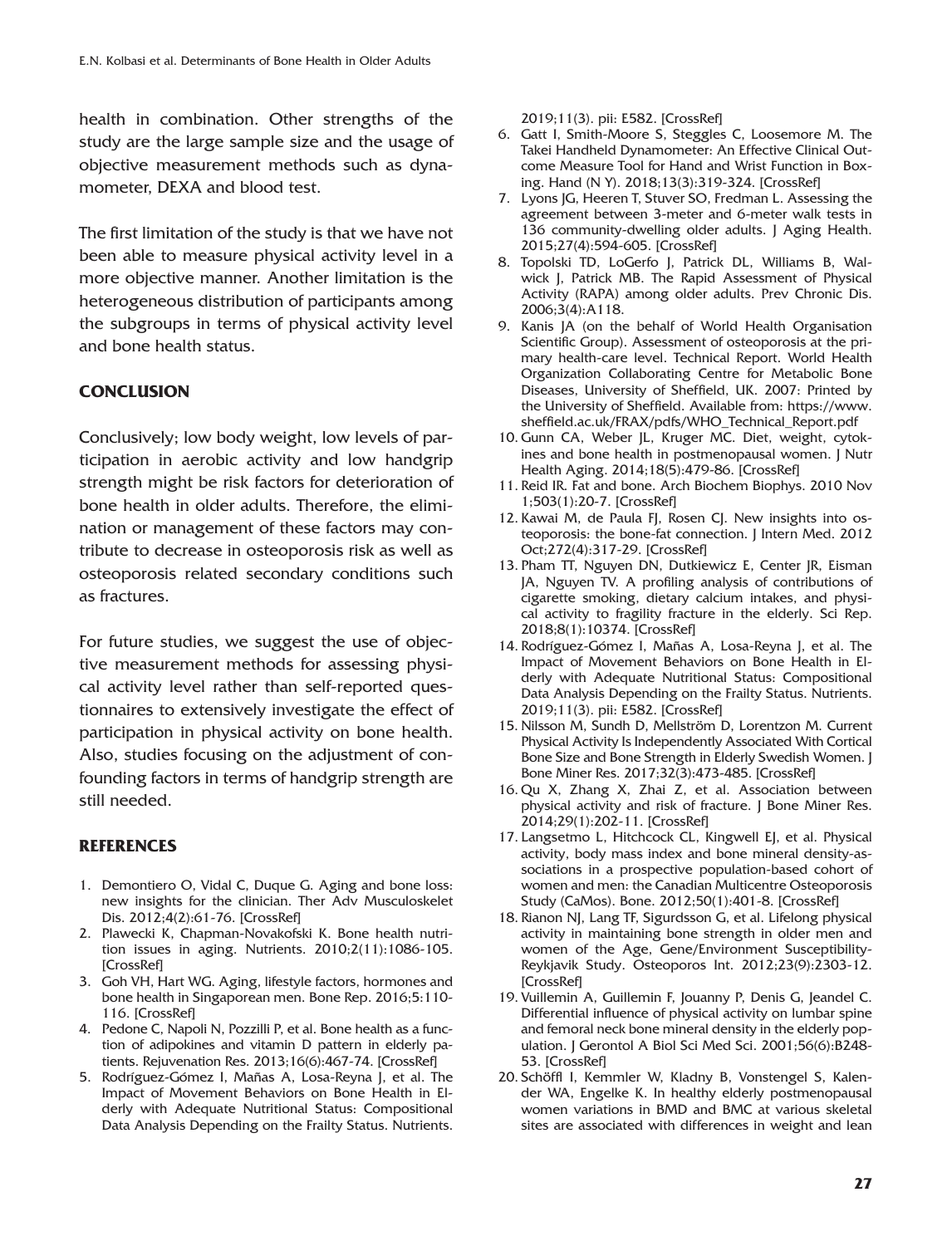health in combination. Other strengths of the study are the large sample size and the usage of objective measurement methods such as dynamometer, DEXA and blood test.

The first limitation of the study is that we have not been able to measure physical activity level in a more objective manner. Another limitation is the heterogeneous distribution of participants among the subgroups in terms of physical activity level and bone health status.

# **CONCLUSION**

Conclusively; low body weight, low levels of participation in aerobic activity and low handgrip strength might be risk factors for deterioration of bone health in older adults. Therefore, the elimination or management of these factors may contribute to decrease in osteoporosis risk as well as osteoporosis related secondary conditions such as fractures.

For future studies, we suggest the use of objective measurement methods for assessing physical activity level rather than self-reported questionnaires to extensively investigate the effect of participation in physical activity on bone health. Also, studies focusing on the adjustment of confounding factors in terms of handgrip strength are still needed.

# **REFERENCES**

- 1. Demontiero O, Vidal C, Duque G. Aging and bone loss: new insights for the clinician. Ther Adv Musculoskelet Dis. 2012;4(2):61-76. [\[CrossRef\]](https://doi.org/10.1177/1759720X11430858)
- 2. Plawecki K, Chapman-Novakofski K. Bone health nutrition issues in aging. Nutrients. 2010;2(11):1086-105. [\[CrossRef\]](https://doi.org/10.3390/nu2111086)
- 3. Goh VH, Hart WG. Aging, lifestyle factors, hormones and bone health in Singaporean men. Bone Rep. 2016;5:110- 116. [\[CrossRef\]](https://doi.org/10.1016/j.bonr.2016.05.003)
- 4. Pedone C, Napoli N, Pozzilli P, et al. Bone health as a function of adipokines and vitamin D pattern in elderly patients. Rejuvenation Res. 2013;16(6):467-74. [\[CrossRef\]](https://doi.org/10.1089/rej.2013.1436)
- 5. Rodríguez-Gómez I, Mañas A, Losa-Reyna J, et al. The Impact of Movement Behaviors on Bone Health in Elderly with Adequate Nutritional Status: Compositional Data Analysis Depending on the Frailty Status. Nutrients.

2019;11(3). pii: E582. [\[CrossRef\]](https://doi.org/10.3390/nu11030582)

- 6. Gatt I, Smith-Moore S, Steggles C, Loosemore M. The Takei Handheld Dynamometer: An Effective Clinical Outcome Measure Tool for Hand and Wrist Function in Boxing. Hand (N Y). 2018;13(3):319-324. [\[CrossRef\]](https://doi.org/10.1177/1558944717707831)
- 7. Lyons JG, Heeren T, Stuver SO, Fredman L. Assessing the agreement between 3-meter and 6-meter walk tests in 136 community-dwelling older adults. J Aging Health. 2015;27(4):594-605. [\[CrossRef\]](https://doi.org/10.1177/0898264314556987)
- 8. Topolski TD, LoGerfo J, Patrick DL, Williams B, Walwick J, Patrick MB. The Rapid Assessment of Physical Activity (RAPA) among older adults. Prev Chronic Dis. 2006;3(4):A118.
- 9. Kanis JA (on the behalf of World Health Organisation Scientific Group). Assessment of osteoporosis at the primary health-care level. Technical Report. World Health Organization Collaborating Centre for Metabolic Bone Diseases, University of Sheffield, UK. 2007: Printed by the University of Sheffield. Available from: https://www. sheffield.ac.uk/FRAX/pdfs/WHO\_Technical\_Report.pdf
- 10. Gunn CA, Weber JL, Kruger MC. Diet, weight, cytokines and bone health in postmenopausal women. J Nutr Health Aging. 2014;18(5):479-86. [\[CrossRef\]](https://doi.org/10.1007/s12603-014-0002-x)
- 11. Reid IR. Fat and bone. Arch Biochem Biophys. 2010 Nov 1;503(1):20-7. [\[CrossRef\]](https://doi.org/10.1016/j.abb.2010.06.027)
- 12. Kawai M, de Paula FJ, Rosen CJ. New insights into osteoporosis: the bone-fat connection. J Intern Med. 2012 Oct;272(4):317-29. [\[CrossRef\]](https://doi.org/10.1111/j.1365-2796.2012.02564.x)
- 13. Pham TT, Nguyen DN, Dutkiewicz E, Center JR, Eisman JA, Nguyen TV. A profiling analysis of contributions of cigarette smoking, dietary calcium intakes, and physical activity to fragility fracture in the elderly. Sci Rep. 2018;8(1):10374. [\[CrossRef\]](https://doi.org/10.1038/s41598-018-28660-y)
- 14. Rodríguez-Gómez I, Mañas A, Losa-Reyna J, et al. The Impact of Movement Behaviors on Bone Health in Elderly with Adequate Nutritional Status: Compositional Data Analysis Depending on the Frailty Status. Nutrients. 2019;11(3). pii: E582. [\[CrossRef\]](https://doi.org/10.3390/nu11030582)
- 15. Nilsson M, Sundh D, Mellström D, Lorentzon M. Current Physical Activity Is Independently Associated With Cortical Bone Size and Bone Strength in Elderly Swedish Women. J Bone Miner Res. 2017;32(3):473-485. [\[CrossRef\]](https://doi.org/10.1002/jbmr.3006)
- 16. Qu X, Zhang X, Zhai Z, et al. Association between physical activity and risk of fracture. J Bone Miner Res. 2014;29(1):202-11. [\[CrossRef\]](https://doi.org/10.1002/jbmr.2019)
- 17. Langsetmo L, Hitchcock CL, Kingwell EJ, et al. Physical activity, body mass index and bone mineral density-associations in a prospective population-based cohort of women and men: the Canadian Multicentre Osteoporosis Study (CaMos). Bone. 2012;50(1):401-8. [\[CrossRef\]](https://doi.org/10.1016/j.bone.2011.11.009)
- 18. Rianon NJ, Lang TF, Sigurdsson G, et al. Lifelong physical activity in maintaining bone strength in older men and women of the Age, Gene/Environment Susceptibility-Reykjavik Study. Osteoporos Int. 2012;23(9):2303-12. [\[CrossRef\]](https://doi.org/10.1007/s00198-011-1874-9)
- 19. Vuillemin A, Guillemin F, Jouanny P, Denis G, Jeandel C. Differential influence of physical activity on lumbar spine and femoral neck bone mineral density in the elderly population. J Gerontol A Biol Sci Med Sci. 2001;56(6):B248- 53. [\[CrossRef\]](https://doi.org/10.1093/gerona/56.6.B248)
- 20. Schöffl I, Kemmler W, Kladny B, Vonstengel S, Kalender WA, Engelke K. In healthy elderly postmenopausal women variations in BMD and BMC at various skeletal sites are associated with differences in weight and lean